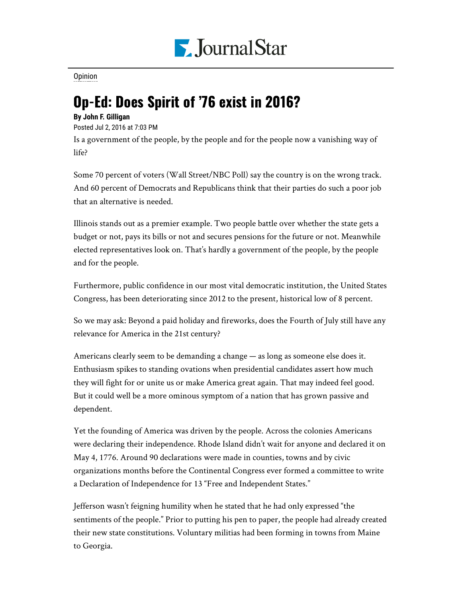

[Opinion](https://www.pjstar.com/search?text=Opinion)

## Op-Ed: Does Spirit of '76 exist in 2016?

## **By John F. Gilligan**

Posted Jul 2, 2016 at 7:03 PM

Is a government of the people, by the people and for the people now a vanishing way of life?

Some 70 percent of voters (Wall Street/NBC Poll) say the country is on the wrong track. And 60 percent of Democrats and Republicans think that their parties do such a poor job that an alternative is needed.

Illinois stands out as a premier example. Two people battle over whether the state gets a budget or not, pays its bills or not and secures pensions for the future or not. Meanwhile elected representatives look on. That's hardly a government of the people, by the people and for the people.

Furthermore, public confidence in our most vital democratic institution, the United States Congress, has been deteriorating since 2012 to the present, historical low of 8 percent.

So we may ask: Beyond a paid holiday and fireworks, does the Fourth of July still have any relevance for America in the 21st century?

Americans clearly seem to be demanding a change — as long as someone else does it. Enthusiasm spikes to standing ovations when presidential candidates assert how much they will fight for or unite us or make America great again. That may indeed feel good. But it could well be a more ominous symptom of a nation that has grown passive and dependent.

Yet the founding of America was driven by the people. Across the colonies Americans were declaring their independence. Rhode Island didn't wait for anyone and declared it on May 4, 1776. Around 90 declarations were made in counties, towns and by civic organizations months before the Continental Congress ever formed a committee to write a Declaration of Independence for 13 "Free and Independent States."

Jefferson wasn't feigning humility when he stated that he had only expressed "the sentiments of the people." Prior to putting his pen to paper, the people had already created their new state constitutions. Voluntary militias had been forming in towns from Maine to Georgia.